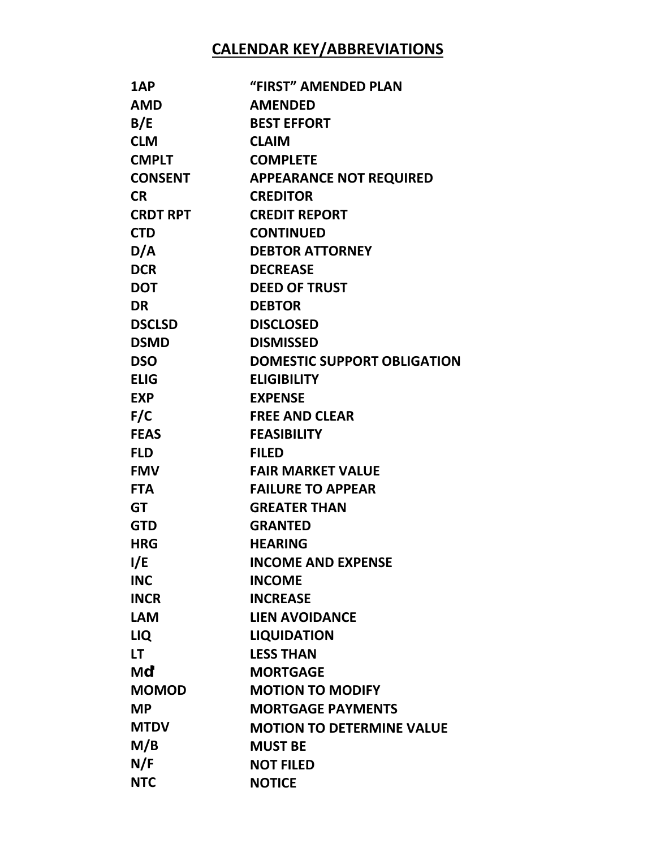## **CALENDAR KEY/ABBREVIATIONS**

| 1AP             | "FIRST" AMENDED PLAN               |
|-----------------|------------------------------------|
| <b>AMD</b>      | <b>AMENDED</b>                     |
| B/E             | <b>BEST EFFORT</b>                 |
| <b>CLM</b>      | <b>CLAIM</b>                       |
| <b>CMPLT</b>    | <b>COMPLETE</b>                    |
| <b>CONSENT</b>  | <b>APPEARANCE NOT REQUIRED</b>     |
| <b>CR</b>       | <b>CREDITOR</b>                    |
| <b>CRDT RPT</b> | <b>CREDIT REPORT</b>               |
| <b>CTD</b>      | <b>CONTINUED</b>                   |
| D/A             | <b>DEBTOR ATTORNEY</b>             |
| <b>DCR</b>      | <b>DECREASE</b>                    |
| <b>DOT</b>      | <b>DEED OF TRUST</b>               |
| <b>DR</b>       | <b>DEBTOR</b>                      |
| <b>DSCLSD</b>   | <b>DISCLOSED</b>                   |
| <b>DSMD</b>     | <b>DISMISSED</b>                   |
| <b>DSO</b>      | <b>DOMESTIC SUPPORT OBLIGATION</b> |
| <b>ELIG</b>     | <b>ELIGIBILITY</b>                 |
| <b>EXP</b>      | <b>EXPENSE</b>                     |
| F/C             | <b>FREE AND CLEAR</b>              |
| <b>FEAS</b>     | <b>FEASIBILITY</b>                 |
| <b>FLD</b>      | <b>FILED</b>                       |
| <b>FMV</b>      | <b>FAIR MARKET VALUE</b>           |
| <b>FTA</b>      | <b>FAILURE TO APPEAR</b>           |
| <b>GT</b>       | <b>GREATER THAN</b>                |
| <b>GTD</b>      | <b>GRANTED</b>                     |
| <b>HRG</b>      | <b>HEARING</b>                     |
| I/E             | <b>INCOME AND EXPENSE</b>          |
| <b>INC</b>      | <b>INCOME</b>                      |
| <b>INCR</b>     | <b>INCREASE</b>                    |
| <b>LAM</b>      | <b>LIEN AVOIDANCE</b>              |
| LIQ             | <b>LIQUIDATION</b>                 |
| LT.             | <b>LESS THAN</b>                   |
| Mu <sub>8</sub> | <b>MORTGAGE</b>                    |
| <b>MOMOD</b>    | <b>MOTION TO MODIFY</b>            |
| <b>MP</b>       | <b>MORTGAGE PAYMENTS</b>           |
| <b>MTDV</b>     | <b>MOTION TO DETERMINE VALUE</b>   |
| M/B             | <b>MUST BE</b>                     |
| N/F             | <b>NOT FILED</b>                   |
| <b>NTC</b>      | <b>NOTICE</b>                      |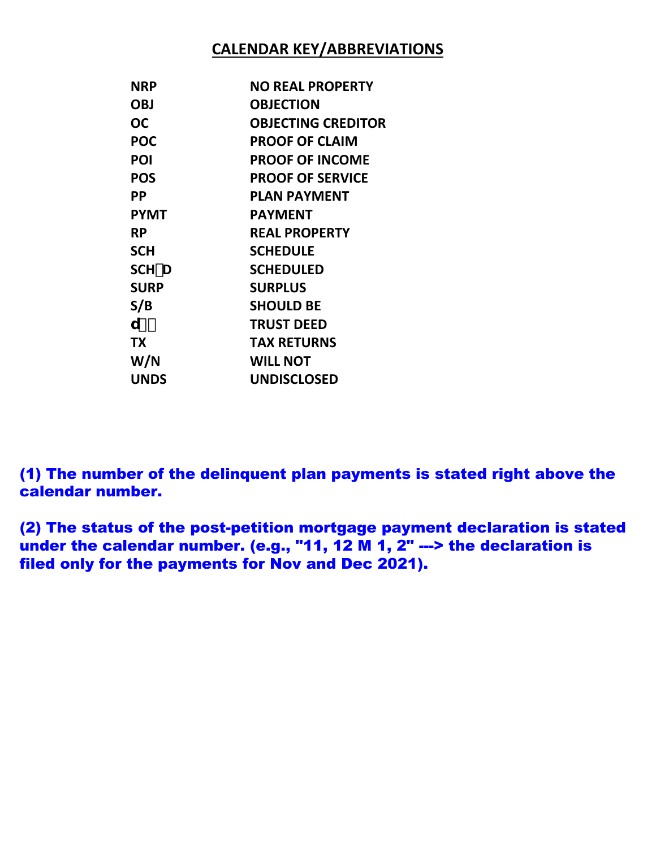## **CALENDAR KEY/ABBREVIATIONS**

| NRP         | <b>NO REAL PROPERTY</b>   |
|-------------|---------------------------|
| <b>OBJ</b>  | <b>OBJECTION</b>          |
| ОC          | <b>OBJECTING CREDITOR</b> |
| <b>POC</b>  | <b>PROOF OF CLAIM</b>     |
| POI         | <b>PROOF OF INCOME</b>    |
| <b>POS</b>  | <b>PROOF OF SERVICE</b>   |
| РP          | <b>PLAN PAYMENT</b>       |
| <b>PYMT</b> | <b>PAYMENT</b>            |
| RP.         | <b>REAL PROPERTY</b>      |
| <b>SCH</b>  | <b>SCHEDULE</b>           |
| SCH-D       | <b>SCHEDULED</b>          |
| <b>SURP</b> | <b>SURPLUS</b>            |
| S/B         | <b>SHOULD BE</b>          |
| U) ·        | <b>TRUST DEED</b>         |
| <b>TX</b>   | <b>TAX RETURNS</b>        |
| W/N         | <b>WILL NOT</b>           |
| <b>UNDS</b> | <b>UNDISCLOSED</b>        |

(1) The number of the delinquent plan payments is stated right above the calendar number.

(2) The status of the post-petition mortgage payment declaration is stated under the calendar number. (e.g., "11, 12 M 1,  $2$ " ---> the declaration is filed only for the payments for Nov and Dec 2021).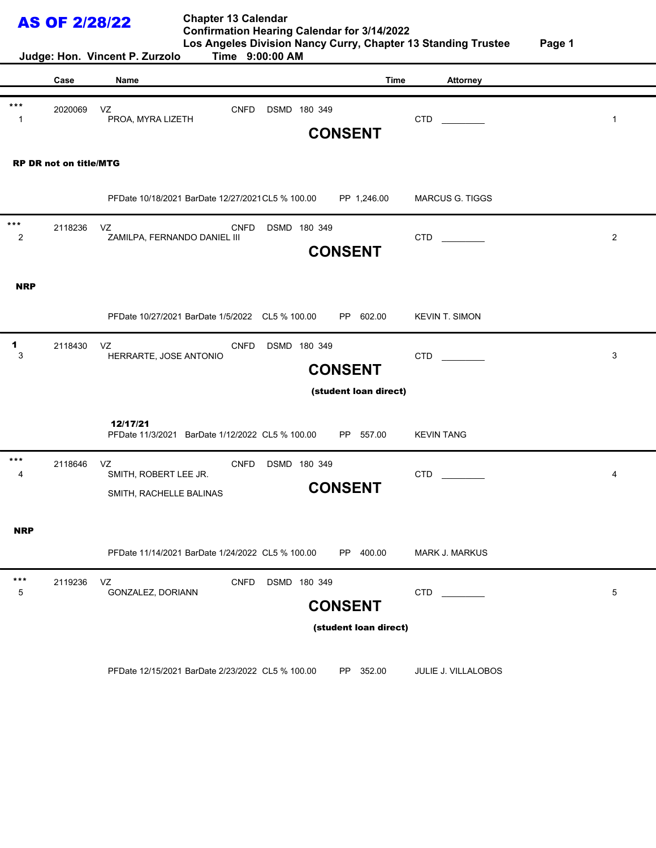| <b>AS OF 2/28/22</b><br>Judge: Hon. Vincent P. Zurzolo |                               |                                                        | <b>Chapter 13 Calendar</b><br>Time 9:00:00 AM     |              | <b>Confirmation Hearing Calendar for 3/14/2022</b> | Los Angeles Division Nancy Curry, Chapter 13 Standing Trustee | Page 1         |
|--------------------------------------------------------|-------------------------------|--------------------------------------------------------|---------------------------------------------------|--------------|----------------------------------------------------|---------------------------------------------------------------|----------------|
|                                                        | Case                          | Name                                                   |                                                   |              | <b>Time</b>                                        | <b>Attorney</b>                                               |                |
| $***$<br>-1                                            | 2020069                       | VZ<br>PROA, MYRA LIZETH                                | <b>CNFD</b>                                       | DSMD 180 349 | <b>CONSENT</b>                                     | CTD                                                           | $\mathbf{1}$   |
|                                                        | <b>RP DR not on title/MTG</b> |                                                        |                                                   |              |                                                    |                                                               |                |
|                                                        |                               |                                                        | PFDate 10/18/2021 BarDate 12/27/2021 CL5 % 100.00 |              | PP 1,246.00                                        | <b>MARCUS G. TIGGS</b>                                        |                |
| $***$<br>2                                             | 2118236                       | VZ<br>ZAMILPA, FERNANDO DANIEL III                     | <b>CNFD</b>                                       | DSMD 180 349 | <b>CONSENT</b>                                     | <b>CTD</b>                                                    | $\overline{2}$ |
| <b>NRP</b>                                             |                               |                                                        |                                                   |              |                                                    |                                                               |                |
|                                                        |                               |                                                        | PFDate 10/27/2021 BarDate 1/5/2022 CL5 % 100.00   |              | PP 602.00                                          | <b>KEVIN T. SIMON</b>                                         |                |
| 1<br>3                                                 | 2118430                       | VZ<br>HERRARTE, JOSE ANTONIO                           | <b>CNFD</b>                                       | DSMD 180 349 | <b>CONSENT</b>                                     | CTD                                                           | 3              |
|                                                        |                               |                                                        |                                                   |              | (student loan direct)                              |                                                               |                |
|                                                        |                               | 12/17/21                                               | PFDate 11/3/2021 BarDate 1/12/2022 CL5 % 100.00   |              | PP -<br>557.00                                     | <b>KEVIN TANG</b>                                             |                |
| $***$<br>4                                             | 2118646                       | VZ<br>SMITH, ROBERT LEE JR.<br>SMITH, RACHELLE BALINAS | <b>CNFD</b>                                       | DSMD 180 349 | <b>CONSENT</b>                                     | <b>CTD</b>                                                    | 4              |
| <b>NRP</b>                                             |                               |                                                        |                                                   |              |                                                    |                                                               |                |
|                                                        |                               |                                                        | PFDate 11/14/2021 BarDate 1/24/2022 CL5 % 100.00  |              | PP 400.00                                          | <b>MARK J. MARKUS</b>                                         |                |
| $***$<br>5                                             | 2119236                       | VZ<br>GONZALEZ, DORIANN                                | <b>CNFD</b>                                       | DSMD 180 349 | <b>CONSENT</b>                                     | <b>CTD</b>                                                    | 5              |
|                                                        |                               |                                                        |                                                   |              | (student loan direct)                              |                                                               |                |
|                                                        |                               |                                                        | PFDate 12/15/2021 BarDate 2/23/2022 CL5 % 100.00  |              | PP 352.00                                          | JULIE J. VILLALOBOS                                           |                |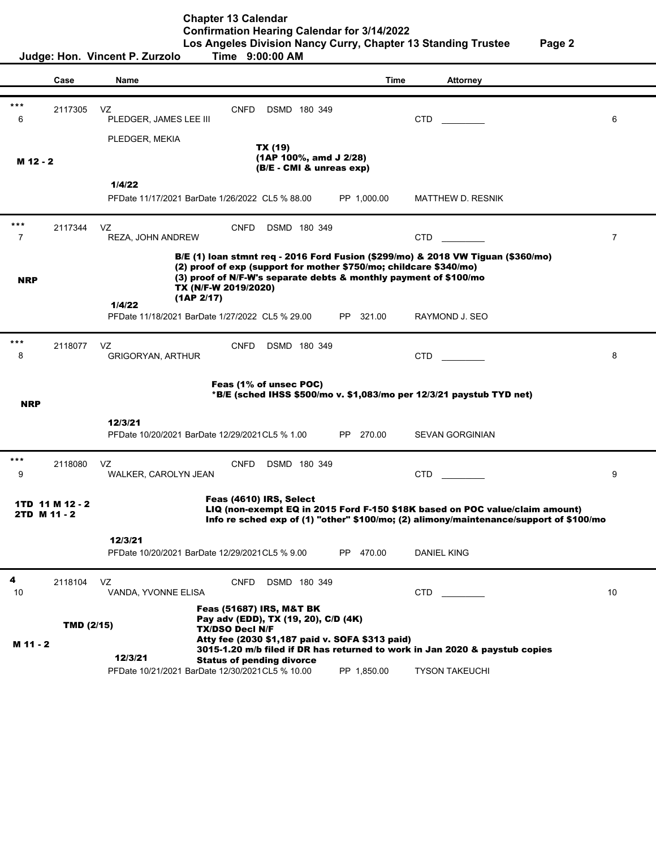|            | Judge: Hon. Vincent P. Zurzolo<br>Time 9:00:00 AM |                                                             |                                                               |                                                               |                                                 |                                                                                                                                                                                                                             |                |
|------------|---------------------------------------------------|-------------------------------------------------------------|---------------------------------------------------------------|---------------------------------------------------------------|-------------------------------------------------|-----------------------------------------------------------------------------------------------------------------------------------------------------------------------------------------------------------------------------|----------------|
|            |                                                   |                                                             |                                                               |                                                               |                                                 |                                                                                                                                                                                                                             |                |
|            | Case                                              | Name                                                        |                                                               |                                                               | <b>Time</b>                                     | <b>Attorney</b>                                                                                                                                                                                                             |                |
| ***<br>6   | 2117305                                           | VZ<br>PLEDGER, JAMES LEE III                                | <b>CNFD</b>                                                   | DSMD 180 349                                                  |                                                 | <b>CTD</b>                                                                                                                                                                                                                  | 6              |
| M 12 - 2   |                                                   | PLEDGER, MEKIA                                              |                                                               | TX (19)<br>(1AP 100%, amd J 2/28)<br>(B/E - CMI & unreas exp) |                                                 |                                                                                                                                                                                                                             |                |
|            |                                                   | 1/4/22                                                      |                                                               |                                                               |                                                 |                                                                                                                                                                                                                             |                |
|            |                                                   | PFDate 11/17/2021 BarDate 1/26/2022 CL5 % 88.00             |                                                               |                                                               | PP 1,000.00                                     | MATTHEW D. RESNIK                                                                                                                                                                                                           |                |
| ***<br>7   | 2117344                                           | VZ<br>REZA, JOHN ANDREW                                     | <b>CNFD</b>                                                   | DSMD 180 349                                                  |                                                 | <b>CTD</b>                                                                                                                                                                                                                  | $\overline{7}$ |
| <b>NRP</b> |                                                   | 1/4/22                                                      | TX (N/F-W 2019/2020)<br>(1AP 2/17)                            |                                                               |                                                 | B/E (1) loan stmnt req - 2016 Ford Fusion (\$299/mo) & 2018 VW Tiguan (\$360/mo)<br>(2) proof of exp (support for mother \$750/mo; childcare \$340/mo)<br>(3) proof of N/F-W's separate debts & monthly payment of \$100/mo |                |
|            |                                                   | PFDate 11/18/2021 BarDate 1/27/2022 CL5 % 29.00             |                                                               |                                                               | PP 321.00                                       | RAYMOND J. SEO                                                                                                                                                                                                              |                |
| ***<br>8   | 2118077                                           | VZ<br><b>GRIGORYAN, ARTHUR</b>                              | <b>CNFD</b>                                                   | DSMD 180 349                                                  |                                                 | <b>CTD</b>                                                                                                                                                                                                                  | 8              |
| <b>NRP</b> |                                                   |                                                             |                                                               | Feas (1% of unsec POC)                                        |                                                 | $*B/E$ (sched IHSS \$500/mo v. \$1,083/mo per 12/3/21 paystub TYD net)                                                                                                                                                      |                |
|            |                                                   | 12/3/21<br>PFDate 10/20/2021 BarDate 12/29/2021 CL5 % 1.00  |                                                               |                                                               | PP 270.00                                       | <b>SEVAN GORGINIAN</b>                                                                                                                                                                                                      |                |
| $***$<br>9 | 2118080                                           | VZ<br>WALKER, CAROLYN JEAN                                  | <b>CNFD</b>                                                   | DSMD 180 349                                                  |                                                 | CTD.                                                                                                                                                                                                                        | 9              |
|            | 1TD 11 M 12 - 2<br>2TD M 11 - 2                   |                                                             |                                                               | Feas (4610) IRS, Select                                       |                                                 | LIQ (non-exempt EQ in 2015 Ford F-150 \$18K based on POC value/claim amount)<br>Info re sched exp of (1) "other" \$100/mo; (2) alimony/maintenance/support of \$100/mo                                                      |                |
|            |                                                   | 12/3/21<br>PFDate 10/20/2021 BarDate 12/29/2021 CL5 % 9.00  |                                                               |                                                               | PP 470.00                                       | <b>DANIEL KING</b>                                                                                                                                                                                                          |                |
| 4<br>10    | 2118104                                           | VZ<br>VANDA, YVONNE ELISA                                   | <b>CNFD</b>                                                   | DSMD 180 349                                                  |                                                 | <b>CTD</b>                                                                                                                                                                                                                  | 10             |
|            | TMD (2/15)                                        |                                                             | <b>Feas (51687) IRS, M&amp;T BK</b><br><b>TX/DSO Decl N/F</b> | Pay adv (EDD), TX (19, 20), C/D (4K)                          | Atty fee (2030 \$1,187 paid v. SOFA \$313 paid) |                                                                                                                                                                                                                             |                |
| M 11 - 2   |                                                   | 12/3/21<br>PFDate 10/21/2021 BarDate 12/30/2021 CL5 % 10.00 | <b>Status of pending divorce</b>                              |                                                               | PP 1,850.00                                     | 3015-1.20 m/b filed if DR has returned to work in Jan 2020 & paystub copies<br><b>TYSON TAKEUCHI</b>                                                                                                                        |                |
|            |                                                   |                                                             |                                                               |                                                               |                                                 |                                                                                                                                                                                                                             |                |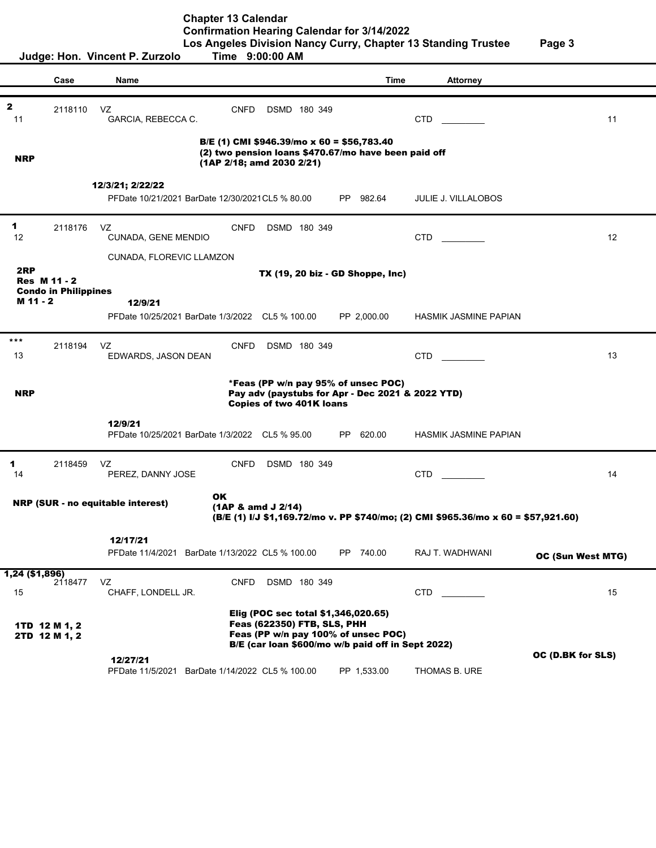**Chapter 13 Calendar Confirmation Hearing Calendar for 3/14/2022**

**Los Angeles Division Nancy Curry, Chapter 13 Standing Trustee Page 3**

|                      |                                | Judge: Hon. Vincent P. Zurzolo                                       | Time 9:00:00 AM                                                                                                                                                |               |                              |                   |
|----------------------|--------------------------------|----------------------------------------------------------------------|----------------------------------------------------------------------------------------------------------------------------------------------------------------|---------------|------------------------------|-------------------|
|                      | Case                           | Name                                                                 |                                                                                                                                                                | <b>Time</b>   | <b>Attorney</b>              |                   |
|                      |                                |                                                                      |                                                                                                                                                                |               |                              |                   |
| $\mathbf{z}$<br>11   | 2118110                        | VZ<br>GARCIA, REBECCA C.                                             | <b>CNFD</b><br>DSMD 180 349                                                                                                                                    |               | <b>CTD</b>                   | 11                |
| <b>NRP</b>           |                                |                                                                      | B/E (1) CMI \$946.39/mo x 60 = \$56,783.40<br>(2) two pension loans \$470.67/mo have been paid off<br>$(1AP 2/18;$ amd 2030 2/21)                              |               |                              |                   |
|                      |                                |                                                                      |                                                                                                                                                                |               |                              |                   |
|                      |                                | 12/3/21; 2/22/22<br>PFDate 10/21/2021 BarDate 12/30/2021 CL5 % 80.00 |                                                                                                                                                                | PP 982.64     | <b>JULIE J. VILLALOBOS</b>   |                   |
| 1<br>12              | 2118176                        | VZ<br>CUNADA, GENE MENDIO                                            | CNFD<br>DSMD 180 349                                                                                                                                           |               | CTD                          | 12                |
|                      |                                | CUNADA, FLOREVIC LLAMZON                                             |                                                                                                                                                                |               |                              |                   |
| 2RP                  |                                |                                                                      | TX (19, 20 biz - GD Shoppe, Inc)                                                                                                                               |               |                              |                   |
|                      | <b>Res M 11 - 2</b>            |                                                                      |                                                                                                                                                                |               |                              |                   |
| M 11 - 2             | <b>Condo in Philippines</b>    | 12/9/21                                                              |                                                                                                                                                                |               |                              |                   |
|                      |                                | PFDate 10/25/2021 BarDate 1/3/2022 CL5 % 100.00                      |                                                                                                                                                                | PP 2,000.00   | <b>HASMIK JASMINE PAPIAN</b> |                   |
|                      |                                |                                                                      |                                                                                                                                                                |               |                              |                   |
| $***$<br>13          | 2118194                        | VZ<br>EDWARDS, JASON DEAN                                            | <b>CNFD</b><br>DSMD 180 349                                                                                                                                    |               | CTD.                         | 13                |
|                      |                                |                                                                      |                                                                                                                                                                |               |                              |                   |
| <b>NRP</b>           |                                |                                                                      | *Feas (PP w/n pay 95% of unsec POC)<br>Pay adv (paystubs for Apr - Dec 2021 & 2022 YTD)<br><b>Copies of two 401K loans</b>                                     |               |                              |                   |
|                      |                                | 12/9/21<br>PFDate 10/25/2021 BarDate 1/3/2022 CL5 % 95.00            |                                                                                                                                                                | 620.00<br>PP. | <b>HASMIK JASMINE PAPIAN</b> |                   |
| 1<br>14              | 2118459                        | VZ<br>PEREZ, DANNY JOSE                                              | <b>CNFD</b><br>DSMD 180 349                                                                                                                                    |               | <b>CTD</b>                   | 14                |
|                      |                                | <b>NRP (SUR - no equitable interest)</b>                             | OK<br>$(1AP & \text{amd } J 2/14)$<br>(B/E (1) I/J \$1,169.72/mo v. PP \$740/mo; (2) CMI \$965.36/mo x 60 = \$57,921.60)                                       |               |                              |                   |
|                      |                                | 12/17/21                                                             |                                                                                                                                                                |               |                              |                   |
|                      |                                | PFDate 11/4/2021 BarDate 1/13/2022 CL5 % 100.00                      |                                                                                                                                                                | PP.<br>740.00 | RAJ T. WADHWANI              | OC (Sun West MTG) |
| 1,24 (\$1,896)<br>15 | 2118477                        | VZ<br>CHAFF, LONDELL JR.                                             | <b>CNFD</b><br>DSMD 180 349                                                                                                                                    |               | CTD.                         | 15                |
|                      | 1TD 12 M 1, 2<br>2TD 12 M 1, 2 |                                                                      | Elig (POC sec total \$1,346,020.65)<br>Feas (622350) FTB, SLS, PHH<br>Feas (PP w/n pay 100% of unsec POC)<br>B/E (car loan \$600/mo w/b paid off in Sept 2022) |               |                              |                   |
|                      |                                |                                                                      |                                                                                                                                                                |               |                              | OC (D.BK for SLS) |
|                      |                                | 12/27/21<br>PFDate 11/5/2021 BarDate 1/14/2022 CL5 % 100.00          |                                                                                                                                                                | PP 1,533.00   | THOMAS B. URE                |                   |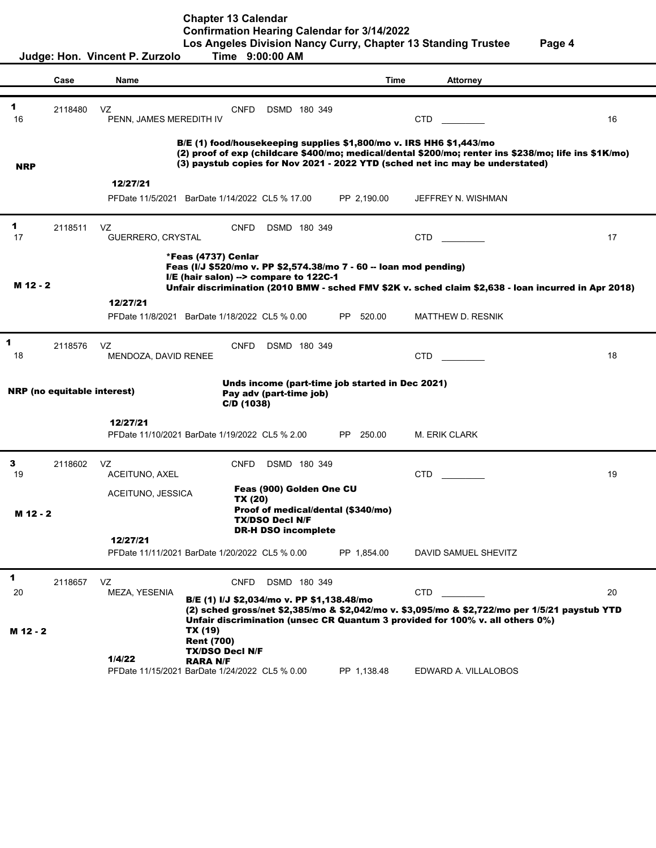**Chapter 13 Calendar**

**Confirmation Hearing Calendar for 3/14/2022**

|                                                                                                                                      |                                    | Judge: Hon. Vincent P. Zurzolo | Time 9:00:00 AM                                                                                                                     |                                                                            |                | Los Angeles Division Nancy Curry, Chapter 13 Standing Trustee                                                                                                                                                                                                 | Page 4 |
|--------------------------------------------------------------------------------------------------------------------------------------|------------------------------------|--------------------------------|-------------------------------------------------------------------------------------------------------------------------------------|----------------------------------------------------------------------------|----------------|---------------------------------------------------------------------------------------------------------------------------------------------------------------------------------------------------------------------------------------------------------------|--------|
|                                                                                                                                      | Case                               | Name                           |                                                                                                                                     |                                                                            | Time           | <b>Attorney</b>                                                                                                                                                                                                                                               |        |
| 1<br>16                                                                                                                              | 2118480                            | VZ<br>PENN, JAMES MEREDITH IV  | <b>CNFD</b>                                                                                                                         | DSMD 180 349                                                               |                | <b>CTD</b>                                                                                                                                                                                                                                                    | 16     |
| <b>NRP</b>                                                                                                                           |                                    |                                |                                                                                                                                     |                                                                            |                | B/E (1) food/housekeeping supplies \$1,800/mo v. IRS HH6 \$1,443/mo<br>(2) proof of exp (childcare \$400/mo; medical/dental \$200/mo; renter ins \$238/mo; life ins \$1K/mo)<br>(3) paystub copies for Nov 2021 - 2022 YTD (sched net inc may be understated) |        |
|                                                                                                                                      |                                    | 12/27/21                       | PFDate 11/5/2021 BarDate 1/14/2022 CL5 % 17.00                                                                                      |                                                                            | PP 2,190.00    | JEFFREY N. WISHMAN                                                                                                                                                                                                                                            |        |
| 1<br>17                                                                                                                              | 2118511                            | VZ<br>GUERRERO, CRYSTAL        | <b>CNFD</b>                                                                                                                         | DSMD 180 349                                                               |                | CTD                                                                                                                                                                                                                                                           | 17     |
| M 12 - 2                                                                                                                             |                                    |                                | *Feas (4737) Cenlar<br>Feas (I/J \$520/mo v. PP \$2,574.38/mo 7 - 60 -- Ioan mod pending)<br>I/E (hair salon) --> compare to 122C-1 |                                                                            |                | Unfair discrimination (2010 BMW - sched FMV \$2K v. sched claim \$2,638 - Ioan incurred in Apr 2018)                                                                                                                                                          |        |
|                                                                                                                                      |                                    | 12/27/21                       | PFDate 11/8/2021 BarDate 1/18/2022 CL5 % 0.00                                                                                       |                                                                            | PP -<br>520.00 | MATTHEW D. RESNIK                                                                                                                                                                                                                                             |        |
| 1<br>18                                                                                                                              | 2118576                            | VZ<br>MENDOZA, DAVID RENEE     | <b>CNFD</b>                                                                                                                         | DSMD 180 349                                                               |                | CTD.                                                                                                                                                                                                                                                          | 18     |
|                                                                                                                                      | <b>NRP</b> (no equitable interest) |                                | $C/D$ (1038)                                                                                                                        | Unds income (part-time job started in Dec 2021)<br>Pay adv (part-time job) |                |                                                                                                                                                                                                                                                               |        |
|                                                                                                                                      |                                    | 12/27/21                       | PFDate 11/10/2021 BarDate 1/19/2022 CL5 % 2.00                                                                                      |                                                                            | PP 250.00      | M. ERIK CLARK                                                                                                                                                                                                                                                 |        |
| 3<br>19                                                                                                                              | 2118602                            | VZ<br>ACEITUNO, AXEL           | <b>CNFD</b>                                                                                                                         | DSMD 180 349                                                               |                | <b>CTD</b>                                                                                                                                                                                                                                                    | 19     |
| Feas (900) Golden One CU<br>ACEITUNO, JESSICA<br>TX (20)<br>Proof of medical/dental (\$340/mo)<br>M 12 - 2<br><b>TX/DSO Decl N/F</b> |                                    |                                |                                                                                                                                     |                                                                            |                |                                                                                                                                                                                                                                                               |        |
|                                                                                                                                      |                                    | 12/27/21                       | PFDate 11/11/2021 BarDate 1/20/2022 CL5 % 0.00                                                                                      | <b>DR-H DSO incomplete</b>                                                 | PP 1,854.00    | DAVID SAMUEL SHEVITZ                                                                                                                                                                                                                                          |        |
| 1<br>20                                                                                                                              | 2118657                            | VZ<br>MEZA, YESENIA            | <b>CNFD</b><br>B/E (1) I/J \$2,034/mo v. PP \$1,138.48/mo                                                                           | DSMD 180 349                                                               |                | <b>CTD</b>                                                                                                                                                                                                                                                    | 20     |
| M 12 - 2                                                                                                                             |                                    | 1/4/22                         | TX (19)<br><b>Rent (700)</b><br><b>TX/DSO Decl N/F</b><br><b>RARA N/F</b><br>PFDate 11/15/2021 BarDate 1/24/2022 CL5 % 0.00         |                                                                            | PP 1,138.48    | (2) sched gross/net \$2,385/mo & \$2,042/mo v. \$3,095/mo & \$2,722/mo per 1/5/21 paystub YTD<br>Unfair discrimination (unsec CR Quantum 3 provided for 100% v. all others 0%)<br>EDWARD A. VILLALOBOS                                                        |        |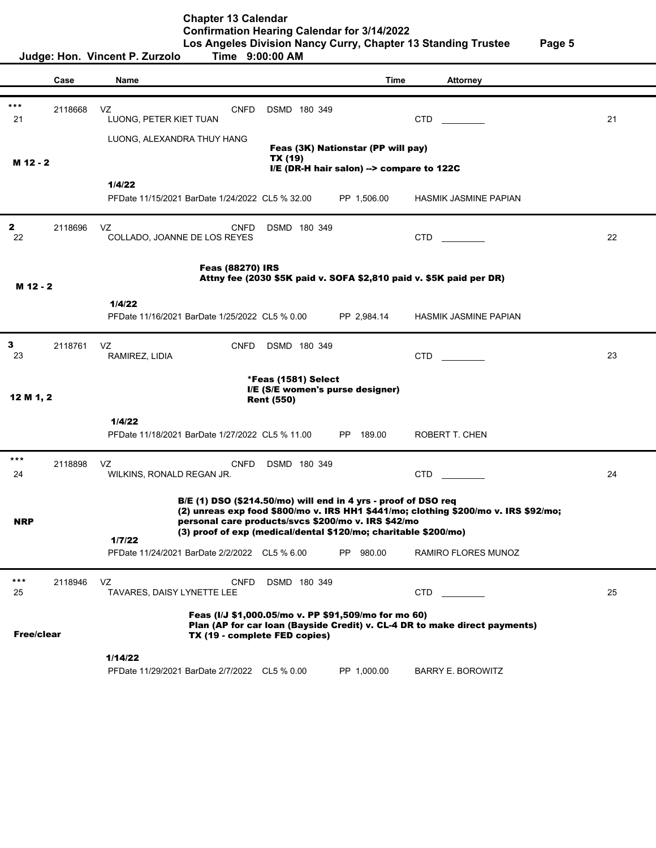|            |         | Judge: Hon. Vincent P. Zurzolo                                  | Time 9:00:00 AM                                                                       |                                           |                                                                                     |    |
|------------|---------|-----------------------------------------------------------------|---------------------------------------------------------------------------------------|-------------------------------------------|-------------------------------------------------------------------------------------|----|
|            | Case    | Name                                                            |                                                                                       | Time                                      | <b>Attorney</b>                                                                     |    |
|            |         |                                                                 |                                                                                       |                                           |                                                                                     |    |
| ***<br>21  | 2118668 | VZ<br><b>CNFD</b><br>LUONG, PETER KIET TUAN                     | DSMD 180 349                                                                          |                                           | CTD.                                                                                | 21 |
|            |         | LUONG, ALEXANDRA THUY HANG                                      |                                                                                       |                                           |                                                                                     |    |
|            |         |                                                                 | TX (19)                                                                               | Feas (3K) Nationstar (PP will pay)        |                                                                                     |    |
| M 12 - 2   |         |                                                                 |                                                                                       | I/E (DR-H hair salon) --> compare to 122C |                                                                                     |    |
|            |         | 1/4/22                                                          |                                                                                       |                                           |                                                                                     |    |
|            |         | PFDate 11/15/2021 BarDate 1/24/2022 CL5 % 32.00                 |                                                                                       | PP 1,506.00                               | HASMIK JASMINE PAPIAN                                                               |    |
| 2<br>22    | 2118696 | VZ<br><b>CNFD</b><br>COLLADO, JOANNE DE LOS REYES               | DSMD 180 349                                                                          |                                           | <b>CTD</b>                                                                          | 22 |
|            |         | <b>Feas (88270) IRS</b>                                         |                                                                                       |                                           |                                                                                     |    |
|            |         |                                                                 |                                                                                       |                                           | Attny fee (2030 \$5K paid v. SOFA \$2,810 paid v. \$5K paid per DR)                 |    |
| M 12 - 2   |         |                                                                 |                                                                                       |                                           |                                                                                     |    |
|            |         | 1/4/22<br>PFDate 11/16/2021 BarDate 1/25/2022 CL5 % 0.00        |                                                                                       | PP 2,984.14                               | <b>HASMIK JASMINE PAPIAN</b>                                                        |    |
|            |         |                                                                 |                                                                                       |                                           |                                                                                     |    |
| 3          | 2118761 | VZ<br><b>CNFD</b>                                               | DSMD 180 349                                                                          |                                           |                                                                                     |    |
| 23         |         | RAMIREZ, LIDIA                                                  |                                                                                       |                                           | <b>CTD</b>                                                                          | 23 |
|            |         |                                                                 | *Feas (1581) Select                                                                   |                                           |                                                                                     |    |
| 12 M 1, 2  |         |                                                                 | I/E (S/E women's purse designer)<br><b>Rent (550)</b>                                 |                                           |                                                                                     |    |
|            |         |                                                                 |                                                                                       |                                           |                                                                                     |    |
|            |         | 1/4/22<br>PFDate 11/18/2021 BarDate 1/27/2022 CL5 % 11.00       |                                                                                       | PP 189.00                                 | ROBERT T. CHEN                                                                      |    |
|            |         |                                                                 |                                                                                       |                                           |                                                                                     |    |
| ***        | 2118898 | VZ<br><b>CNFD</b>                                               | DSMD 180 349                                                                          |                                           |                                                                                     |    |
| 24         |         | WILKINS, RONALD REGAN JR.                                       |                                                                                       |                                           | <b>CTD</b>                                                                          | 24 |
|            |         | B/E (1) DSO (\$214.50/mo) will end in 4 yrs - proof of DSO req  |                                                                                       |                                           |                                                                                     |    |
| <b>NRP</b> |         | personal care products/svcs \$200/mo v. IRS \$42/mo             |                                                                                       |                                           | (2) unreas exp food \$800/mo v. IRS HH1 \$441/mo; clothing \$200/mo v. IRS \$92/mo; |    |
|            |         | (3) proof of exp (medical/dental \$120/mo; charitable \$200/mo) |                                                                                       |                                           |                                                                                     |    |
|            |         | 1/7/22<br>PFDate 11/24/2021 BarDate 2/2/2022 CL5 % 6.00         |                                                                                       | PP 980.00                                 | RAMIRO FLORES MUNOZ                                                                 |    |
|            |         |                                                                 |                                                                                       |                                           |                                                                                     |    |
| ***<br>25  | 2118946 | VZ<br><b>CNFD</b><br>TAVARES, DAISY LYNETTE LEE                 | DSMD 180 349                                                                          |                                           | <b>CTD</b>                                                                          | 25 |
| Free/clear |         |                                                                 | Feas (I/J \$1,000.05/mo v. PP \$91,509/mo for mo 60)<br>TX (19 - complete FED copies) |                                           | Plan (AP for car loan (Bayside Credit) v. CL-4 DR to make direct payments)          |    |
|            |         | 1/14/22                                                         |                                                                                       |                                           |                                                                                     |    |
|            |         | PFDate 11/29/2021 BarDate 2/7/2022 CL5 % 0.00                   |                                                                                       | PP 1,000.00                               | <b>BARRY E. BOROWITZ</b>                                                            |    |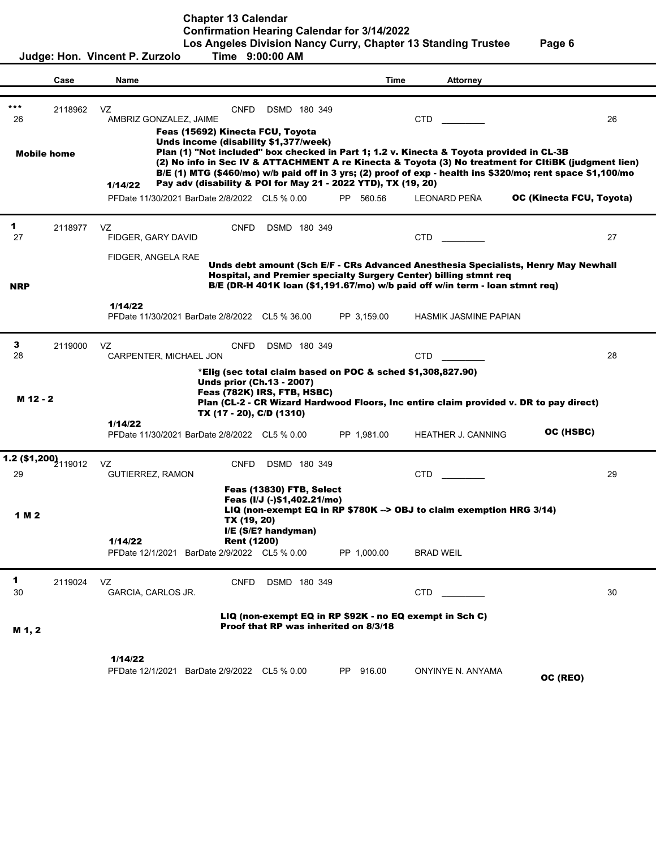**Chapter 13 Calendar**

**Confirmation Hearing Calendar for 3/14/2022**

|            |                                 | Judge: Hon. Vincent P. Zurzolo                                                                                                                                                                       | Time 9:00:00 AM                                                                                                                                            |             | Los Angeles Division Nancy Curry, Chapter 13 Standing Trustee                                                                                                                                                                           | Page 6                                                                                                                                                                                                                    |
|------------|---------------------------------|------------------------------------------------------------------------------------------------------------------------------------------------------------------------------------------------------|------------------------------------------------------------------------------------------------------------------------------------------------------------|-------------|-----------------------------------------------------------------------------------------------------------------------------------------------------------------------------------------------------------------------------------------|---------------------------------------------------------------------------------------------------------------------------------------------------------------------------------------------------------------------------|
|            | Case                            | Name                                                                                                                                                                                                 |                                                                                                                                                            | Time        | <b>Attorney</b>                                                                                                                                                                                                                         |                                                                                                                                                                                                                           |
| ***<br>26  | 2118962<br><b>Mobile home</b>   | VZ<br><b>CNFD</b><br>AMBRIZ GONZALEZ, JAIME<br>Feas (15692) Kinecta FCU, Toyota<br>Unds income (disability \$1,377/week)<br>Pay adv (disability & POI for May 21 - 2022 YTD), TX (19, 20)<br>1/14/22 | DSMD 180 349                                                                                                                                               |             | <b>CTD</b><br>Plan (1) "Not included" box checked in Part 1; 1.2 v. Kinecta & Toyota provided in CL-3B                                                                                                                                  | 26<br>(2) No info in Sec IV & ATTACHMENT A re Kinecta & Toyota (3) No treatment for CItiBK (judgment lien)<br>B/E (1) MTG (\$460/mo) w/b paid off in 3 yrs; (2) proof of exp - health ins \$320/mo; rent space \$1,100/mo |
|            |                                 | PFDate 11/30/2021 BarDate 2/8/2022 CL5 % 0.00                                                                                                                                                        |                                                                                                                                                            | PP 560.56   | <b>LEONARD PEÑA</b>                                                                                                                                                                                                                     | OC (Kinecta FCU, Toyota)                                                                                                                                                                                                  |
| 1<br>27    | 2118977                         | VZ.<br><b>CNFD</b><br>FIDGER, GARY DAVID<br>FIDGER, ANGELA RAE                                                                                                                                       | DSMD 180 349                                                                                                                                               |             | <b>CTD</b>                                                                                                                                                                                                                              | 27                                                                                                                                                                                                                        |
| <b>NRP</b> |                                 |                                                                                                                                                                                                      |                                                                                                                                                            |             | Unds debt amount (Sch E/F - CRs Advanced Anesthesia Specialists, Henry May Newhall<br>Hospital, and Premier specialty Surgery Center) billing stmnt req<br>B/E (DR-H 401K loan (\$1,191.67/mo) w/b paid off w/in term - loan stmnt req) |                                                                                                                                                                                                                           |
|            |                                 | 1/14/22<br>PFDate 11/30/2021 BarDate 2/8/2022 CL5 % 36.00                                                                                                                                            |                                                                                                                                                            | PP 3,159.00 | HASMIK JASMINE PAPIAN                                                                                                                                                                                                                   |                                                                                                                                                                                                                           |
| 3<br>28    | 2119000                         | VZ<br><b>CNFD</b><br>CARPENTER, MICHAEL JON                                                                                                                                                          | DSMD 180 349                                                                                                                                               |             | CTD                                                                                                                                                                                                                                     | 28                                                                                                                                                                                                                        |
| M 12 - 2   |                                 | 1/14/22<br>PFDate 11/30/2021 BarDate 2/8/2022 CL5 % 0.00                                                                                                                                             | *Elig (sec total claim based on POC & sched \$1,308,827.90)<br><b>Unds prior (Ch.13 - 2007)</b><br>Feas (782K) IRS, FTB, HSBC)<br>TX (17 - 20), C/D (1310) | PP 1,981.00 | Plan (CL-2 - CR Wizard Hardwood Floors, Inc entire claim provided v. DR to pay direct)<br><b>HEATHER J. CANNING</b>                                                                                                                     | OC (HSBC)                                                                                                                                                                                                                 |
| 29         | 1.2 (\$1,200) <sub>119012</sub> | VZ<br><b>CNFD</b><br><b>GUTIERREZ, RAMON</b>                                                                                                                                                         | DSMD 180 349                                                                                                                                               |             | <b>CTD</b>                                                                                                                                                                                                                              | 29                                                                                                                                                                                                                        |
| 1 M 2      |                                 | TX (19, 20)<br>1/14/22<br>PFDate 12/1/2021<br>BarDate 2/9/2022 CL5 % 0.00                                                                                                                            | Feas (13830) FTB, Select<br>Feas (I/J (-)\$1,402.21/mo)<br>I/E (S/E? handyman)<br><b>Rent (1200)</b>                                                       | PP 1,000.00 | LIQ (non-exempt EQ in RP \$780K --> OBJ to claim exemption HRG 3/14)<br>BRAD WEIL                                                                                                                                                       |                                                                                                                                                                                                                           |
| 1<br>30    | 2119024                         | VZ<br><b>CNFD</b><br>GARCIA, CARLOS JR.                                                                                                                                                              | DSMD 180 349                                                                                                                                               |             | <b>CTD</b>                                                                                                                                                                                                                              | 30                                                                                                                                                                                                                        |
| M 1, 2     |                                 |                                                                                                                                                                                                      | Proof that RP was inherited on 8/3/18                                                                                                                      |             | LIQ (non-exempt EQ in RP \$92K - no EQ exempt in Sch C)                                                                                                                                                                                 |                                                                                                                                                                                                                           |
|            |                                 | 1/14/22<br>PFDate 12/1/2021 BarDate 2/9/2022 CL5 % 0.00                                                                                                                                              |                                                                                                                                                            | PP 916.00   | ONYINYE N. ANYAMA                                                                                                                                                                                                                       | OC (REO)                                                                                                                                                                                                                  |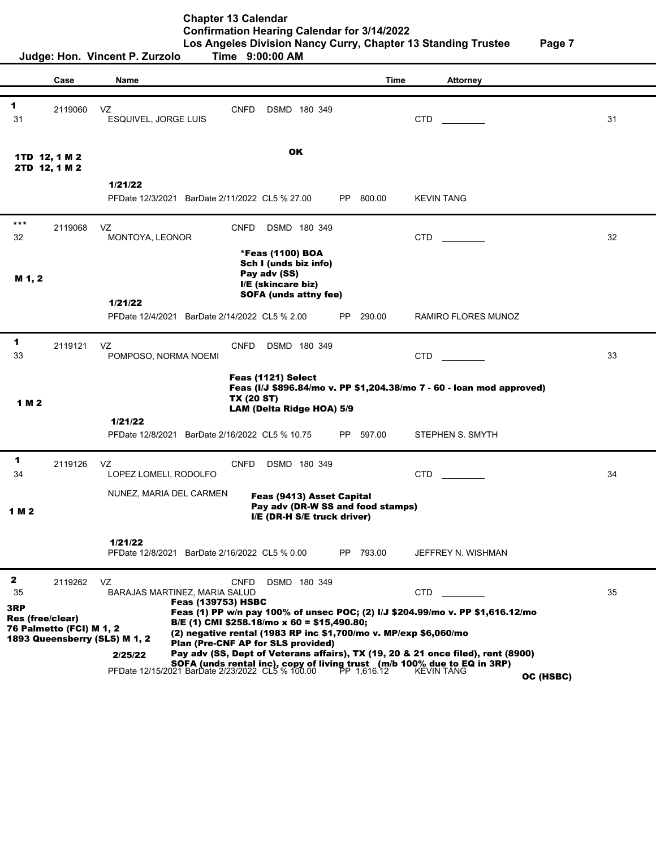**Chapter 13 Calendar Confirmation Hearing Calendar for 3/14/2022**

|                                |                          | Time 9:00:00 AM<br>Judge: Hon. Vincent P. Zurzolo                                                                                                                                                                                                                                           | Los Angeles Division Nancy Curry, Chapter 13 Standing Trustee                                                                                        | Page 7              |    |
|--------------------------------|--------------------------|---------------------------------------------------------------------------------------------------------------------------------------------------------------------------------------------------------------------------------------------------------------------------------------------|------------------------------------------------------------------------------------------------------------------------------------------------------|---------------------|----|
|                                | Case                     | Name                                                                                                                                                                                                                                                                                        | <b>Time</b>                                                                                                                                          | Attorney            |    |
| 1<br>31                        | 2119060                  | VZ<br><b>CNFD</b><br>ESQUIVEL, JORGE LUIS                                                                                                                                                                                                                                                   | DSMD 180 349                                                                                                                                         | <b>CTD</b>          | 31 |
| 1TD 12, 1 M 2<br>2TD 12, 1 M 2 |                          |                                                                                                                                                                                                                                                                                             | OK                                                                                                                                                   |                     |    |
|                                |                          | 1/21/22<br>PFDate 12/3/2021 BarDate 2/11/2022 CL5 % 27.00                                                                                                                                                                                                                                   | PP 800.00                                                                                                                                            | <b>KEVIN TANG</b>   |    |
| ***<br>32                      | 2119068                  | <b>CNFD</b><br>VZ<br>MONTOYA, LEONOR                                                                                                                                                                                                                                                        | DSMD 180 349                                                                                                                                         | <b>CTD</b>          | 32 |
| M 1, 2                         |                          | Pay adv (SS)                                                                                                                                                                                                                                                                                | *Feas (1100) BOA<br>Sch I (unds biz info)<br>I/E (skincare biz)<br><b>SOFA (unds attny fee)</b>                                                      |                     |    |
|                                |                          | 1/21/22<br>PFDate 12/4/2021 BarDate 2/14/2022 CL5 % 2.00                                                                                                                                                                                                                                    | PP<br>290.00                                                                                                                                         | RAMIRO FLORES MUNOZ |    |
| 1<br>33                        | 2119121                  | CNFD<br>VZ<br>POMPOSO, NORMA NOEMI                                                                                                                                                                                                                                                          | DSMD 180 349                                                                                                                                         | <b>CTD</b>          | 33 |
| 1 M 2                          |                          | Feas (1121) Select<br><b>TX (20 ST)</b>                                                                                                                                                                                                                                                     | Feas (I/J \$896.84/mo v. PP \$1,204.38/mo 7 - 60 - Ioan mod approved)<br>LAM (Delta Ridge HOA) 5/9                                                   |                     |    |
|                                |                          | 1/21/22<br>PFDate 12/8/2021 BarDate 2/16/2022 CL5 % 10.75                                                                                                                                                                                                                                   | 597.00<br>PP                                                                                                                                         | STEPHEN S. SMYTH    |    |
| 1<br>34                        | 2119126                  | VZ<br><b>CNFD</b><br>LOPEZ LOMELI, RODOLFO                                                                                                                                                                                                                                                  | DSMD 180 349                                                                                                                                         | <b>CTD</b>          | 34 |
| 1 M 2                          |                          | NUNEZ, MARIA DEL CARMEN                                                                                                                                                                                                                                                                     | Feas (9413) Asset Capital<br>Pay adv (DR-W SS and food stamps)<br>I/E (DR-H S/E truck driver)                                                        |                     |    |
|                                |                          | 1/21/22<br>PFDate 12/8/2021 BarDate 2/16/2022 CL5 % 0.00                                                                                                                                                                                                                                    | PP 793.00                                                                                                                                            | JEFFREY N. WISHMAN  |    |
| $\mathbf{2}$<br>35<br>3RP      | 2119262                  | VZ<br><b>CNFD</b><br>BARAJAS MARTINEZ, MARIA SALUD<br><b>Feas (139753) HSBC</b>                                                                                                                                                                                                             | DSMD 180 349<br>Feas (1) PP w/n pay 100% of unsec POC; (2) I/J \$204.99/mo v. PP \$1,616.12/mo                                                       | <b>CTD</b>          | 35 |
| <b>Res (free/clear)</b>        | 76 Palmetto (FCI) M 1, 2 | B/E (1) CMI \$258.18/mo x 60 = \$15,490.80;<br>1893 Queensberry (SLS) M 1, 2<br>Plan (Pre-CNF AP for SLS provided)<br>2/25/22<br><b>SOFA (unds rental inc), copy of living trust (m/b 100% due to EQ in 3RP)</b><br>PFDate 12/15/2021 BarDate 2/23/2022 CL5 % 100.00 PP 1,616.12 KEVIN TANG | (2) negative rental (1983 RP inc \$1,700/mo v. MP/exp \$6,060/mo<br>Pay adv (SS, Dept of Veterans affairs), TX (19, 20 & 21 once filed), rent (8900) | OC (HSBC)           |    |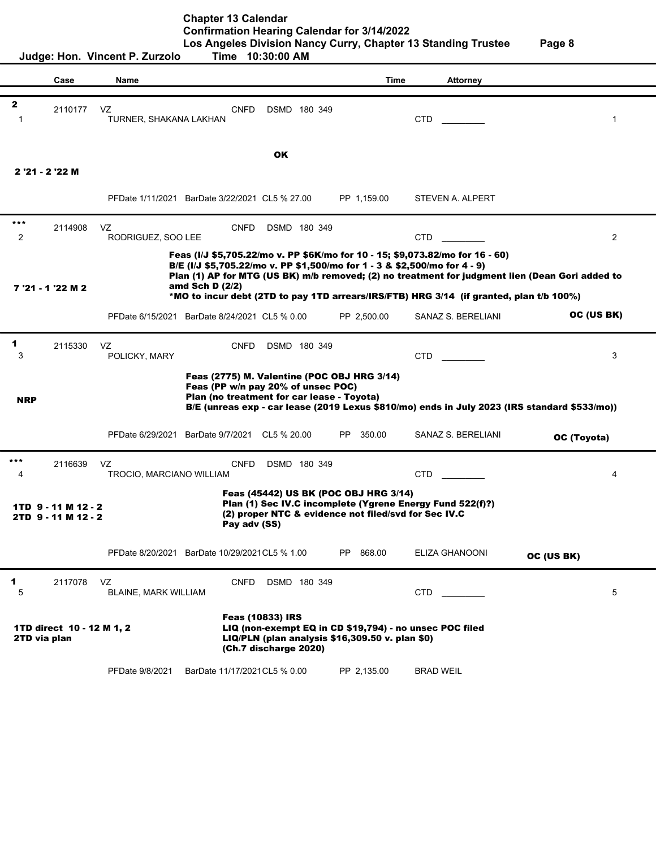|                                                                                                                                                                                                                      | Judge: Hon. Vincent P. Zurzolo<br><b>Time</b><br>10:30:00 AM |                                                |                                                                                                                                                                                                                                                                                                                                                          |               |                    |                |  |
|----------------------------------------------------------------------------------------------------------------------------------------------------------------------------------------------------------------------|--------------------------------------------------------------|------------------------------------------------|----------------------------------------------------------------------------------------------------------------------------------------------------------------------------------------------------------------------------------------------------------------------------------------------------------------------------------------------------------|---------------|--------------------|----------------|--|
|                                                                                                                                                                                                                      | Case                                                         | Name                                           |                                                                                                                                                                                                                                                                                                                                                          | Time          | <b>Attorney</b>    |                |  |
|                                                                                                                                                                                                                      |                                                              |                                                |                                                                                                                                                                                                                                                                                                                                                          |               |                    |                |  |
| $\mathbf{2}$<br>-1                                                                                                                                                                                                   | 2110177                                                      | VZ<br>TURNER, SHAKANA LAKHAN                   | CNFD<br>DSMD 180 349                                                                                                                                                                                                                                                                                                                                     |               | <b>CTD</b>         | 1              |  |
|                                                                                                                                                                                                                      |                                                              |                                                | <b>OK</b>                                                                                                                                                                                                                                                                                                                                                |               |                    |                |  |
|                                                                                                                                                                                                                      | 2 '21 - 2 '22 M                                              |                                                |                                                                                                                                                                                                                                                                                                                                                          |               |                    |                |  |
|                                                                                                                                                                                                                      |                                                              | PFDate 1/11/2021 BarDate 3/22/2021 CL5 % 27.00 |                                                                                                                                                                                                                                                                                                                                                          | PP 1,159.00   | STEVEN A. ALPERT   |                |  |
| $***$<br>2                                                                                                                                                                                                           | 2114908                                                      | VZ<br>RODRIGUEZ, SOO LEE                       | <b>CNFD</b><br>DSMD 180 349                                                                                                                                                                                                                                                                                                                              |               | <b>CTD</b>         | $\overline{2}$ |  |
|                                                                                                                                                                                                                      | 7 '21 - 1 '22 M 2                                            | amd Sch D (2/2)                                | Feas (I/J \$5,705.22/mo v. PP \$6K/mo for 10 - 15; \$9,073.82/mo for 16 - 60)<br>B/E (I/J \$5,705.22/mo v. PP \$1,500/mo for 1 - 3 & \$2,500/mo for 4 - 9)<br>Plan (1) AP for MTG (US BK) m/b removed; (2) no treatment for judgment lien (Dean Gori added to<br>*MO to incur debt (2TD to pay 1TD arrears/IRS/FTB) HRG 3/14 (if granted, plan t/b 100%) |               |                    |                |  |
|                                                                                                                                                                                                                      |                                                              | PFDate 6/15/2021 BarDate 8/24/2021 CL5 % 0.00  |                                                                                                                                                                                                                                                                                                                                                          | PP 2,500.00   | SANAZ S. BERELIANI | OC (US BK)     |  |
| 1<br>3                                                                                                                                                                                                               | 2115330                                                      | VZ<br>POLICKY, MARY                            | <b>CNFD</b><br>DSMD 180 349                                                                                                                                                                                                                                                                                                                              |               | <b>CTD</b>         | 3              |  |
| <b>NRP</b>                                                                                                                                                                                                           |                                                              |                                                | Feas (2775) M. Valentine (POC OBJ HRG 3/14)<br>Feas (PP w/n pay 20% of unsec POC)<br>Plan (no treatment for car lease - Toyota)<br>B/E (unreas exp - car lease (2019 Lexus \$810/mo) ends in July 2023 (IRS standard \$533/mo))                                                                                                                          |               |                    |                |  |
|                                                                                                                                                                                                                      |                                                              | PFDate 6/29/2021 BarDate 9/7/2021              | CL5 % 20.00                                                                                                                                                                                                                                                                                                                                              | 350.00<br>PP. | SANAZ S. BERELIANI | OC (Toyota)    |  |
| ***<br>4                                                                                                                                                                                                             | 2116639                                                      | VZ<br>TROCIO, MARCIANO WILLIAM                 | <b>CNFD</b><br>DSMD 180 349                                                                                                                                                                                                                                                                                                                              |               | <b>CTD</b>         | 4              |  |
| Feas (45442) US BK (POC OBJ HRG 3/14)<br>Plan (1) Sec IV.C incomplete (Ygrene Energy Fund 522(f)?)<br>1TD 9 - 11 M 12 - 2<br>(2) proper NTC & evidence not filed/svd for Sec IV.C<br>2TD 9-11 M 12-2<br>Pay adv (SS) |                                                              |                                                |                                                                                                                                                                                                                                                                                                                                                          |               |                    |                |  |
|                                                                                                                                                                                                                      |                                                              | PFDate 8/20/2021 BarDate 10/29/2021 CL5 % 1.00 |                                                                                                                                                                                                                                                                                                                                                          | 868.00<br>PP. | ELIZA GHANOONI     | OC (US BK)     |  |
| 1<br>5                                                                                                                                                                                                               | 2117078                                                      | VZ<br>BLAINE, MARK WILLIAM                     | <b>CNFD</b><br>DSMD 180 349                                                                                                                                                                                                                                                                                                                              |               | <b>CTD</b>         | 5              |  |
| 2TD via plan                                                                                                                                                                                                         | 1TD direct 10 - 12 M 1, 2                                    |                                                | <b>Feas (10833) IRS</b><br>LIQ (non-exempt EQ in CD \$19,794) - no unsec POC filed<br>LIQ/PLN (plan analysis \$16,309.50 v. plan \$0)<br>(Ch.7 discharge 2020)                                                                                                                                                                                           |               |                    |                |  |
|                                                                                                                                                                                                                      |                                                              | PFDate 9/8/2021                                | BarDate 11/17/2021 CL5 % 0.00                                                                                                                                                                                                                                                                                                                            | PP 2,135.00   | <b>BRAD WEIL</b>   |                |  |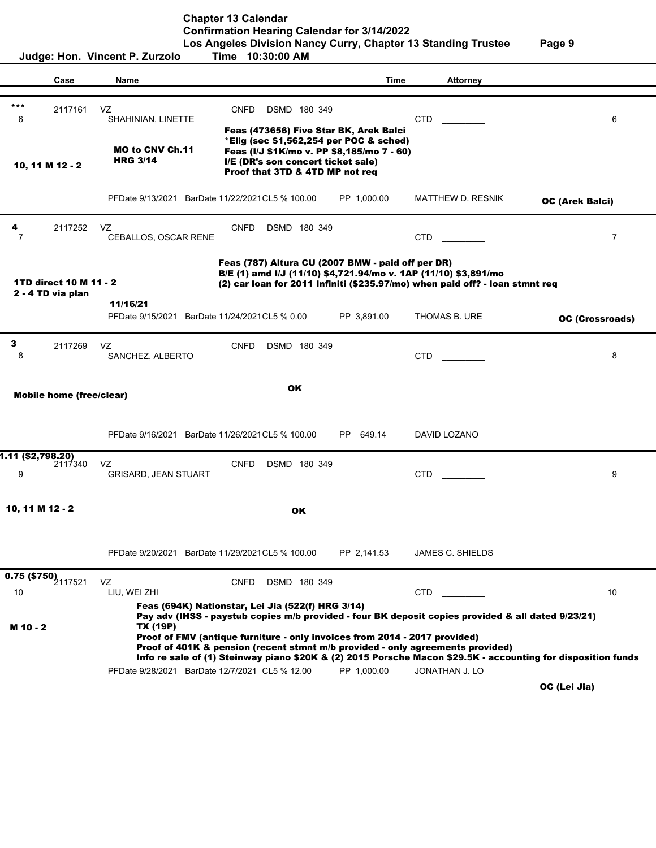|                                                                                          | Judge: Hon. Vincent P. Zurzolo                             | $\sim$ 2.000 $\sim$ 0.000 $\sim$ 0.000 $\sim$ 0.000 $\sim$ 0.000 $\sim$<br>Time 10:30:00 AM                                                                                                                                                                        |              |                          |                                                                                                              |
|------------------------------------------------------------------------------------------|------------------------------------------------------------|--------------------------------------------------------------------------------------------------------------------------------------------------------------------------------------------------------------------------------------------------------------------|--------------|--------------------------|--------------------------------------------------------------------------------------------------------------|
| Case                                                                                     | Name                                                       |                                                                                                                                                                                                                                                                    | Time         | <b>Attorney</b>          |                                                                                                              |
| $***$<br>2117161<br>6                                                                    | VZ<br>SHAHINIAN, LINETTE                                   | CNFD<br>DSMD 180 349<br>Feas (473656) Five Star BK, Arek Balci                                                                                                                                                                                                     |              | <b>CTD</b>               | 6                                                                                                            |
| 10, 11 M 12 - 2                                                                          | <b>MO to CNV Ch.11</b><br><b>HRG 3/14</b>                  | *Elig (sec \$1,562,254 per POC & sched)<br>Feas (I/J \$1K/mo v. PP \$8,185/mo 7 - 60)<br>I/E (DR's son concert ticket sale)<br>Proof that 3TD & 4TD MP not req                                                                                                     |              |                          |                                                                                                              |
|                                                                                          | PFDate 9/13/2021 BarDate 11/22/2021 CL5 % 100.00           |                                                                                                                                                                                                                                                                    | PP 1,000.00  | <b>MATTHEW D. RESNIK</b> | OC (Arek Balci)                                                                                              |
| 4<br>2117252<br>7                                                                        | VZ<br>CEBALLOS, OSCAR RENE                                 | <b>CNFD</b><br>DSMD 180 349                                                                                                                                                                                                                                        |              | <b>CTD</b>               | $\overline{7}$                                                                                               |
| 1TD direct 10 M 11 - 2<br>2 - 4 TD via plan                                              |                                                            | Feas (787) Altura CU (2007 BMW - paid off per DR)<br>B/E (1) amd I/J (11/10) \$4,721.94/mo v. 1AP (11/10) \$3,891/mo<br>(2) car loan for 2011 Infiniti (\$235.97/mo) when paid off? - loan stmnt req                                                               |              |                          |                                                                                                              |
|                                                                                          | 11/16/21<br>PFDate 9/15/2021 BarDate 11/24/2021 CL5 % 0.00 |                                                                                                                                                                                                                                                                    | PP 3,891.00  | THOMAS B. URE            | OC (Crossroads)                                                                                              |
| $\mathbf{3}$<br>2117269<br>8                                                             | VZ<br>SANCHEZ, ALBERTO                                     | <b>CNFD</b><br>DSMD 180 349                                                                                                                                                                                                                                        |              | CTD                      | 8                                                                                                            |
| <b>Mobile home (free/clear)</b>                                                          |                                                            | <b>OK</b>                                                                                                                                                                                                                                                          |              |                          |                                                                                                              |
|                                                                                          | PFDate 9/16/2021 BarDate 11/26/2021 CL5 % 100.00           |                                                                                                                                                                                                                                                                    | 649.14<br>PP | DAVID LOZANO             |                                                                                                              |
| 1.11 (\$2,798.20)<br>2117340<br>9                                                        | VZ<br><b>GRISARD, JEAN STUART</b>                          | <b>CNFD</b><br>DSMD 180 349                                                                                                                                                                                                                                        |              | <b>CTD</b>               | 9                                                                                                            |
| 10, 11 M 12 - 2                                                                          |                                                            | OK                                                                                                                                                                                                                                                                 |              |                          |                                                                                                              |
|                                                                                          | PFDate 9/20/2021 BarDate 11/29/2021 CL5 % 100.00           |                                                                                                                                                                                                                                                                    | PP 2,141.53  | <b>JAMES C. SHIELDS</b>  |                                                                                                              |
| $\overline{\hspace{-1.2cm}0.75\hspace{1.2cm}(\textbf{$\$750}\textbf{)}}_{2117521}$<br>10 | VZ<br>LIU, WEI ZHI                                         | CNFD<br>DSMD 180 349<br>Feas (694K) Nationstar, Lei Jia (522(f) HRG 3/14)                                                                                                                                                                                          |              | CTD.                     | 10                                                                                                           |
| M 10 - 2                                                                                 | TX (19P)<br>PFDate 9/28/2021 BarDate 12/7/2021 CL5 % 12.00 | Pay adv (IHSS - paystub copies m/b provided - four BK deposit copies provided & all dated 9/23/21)<br>Proof of FMV (antique furniture - only invoices from 2014 - 2017 provided)<br>Proof of 401K & pension (recent stmnt m/b provided - only agreements provided) | PP 1,000.00  | JONATHAN J. LO           | Info re sale of (1) Steinway piano \$20K & (2) 2015 Porsche Macon \$29.5K - accounting for disposition funds |
|                                                                                          |                                                            |                                                                                                                                                                                                                                                                    |              |                          | OC (Lei Jia)                                                                                                 |